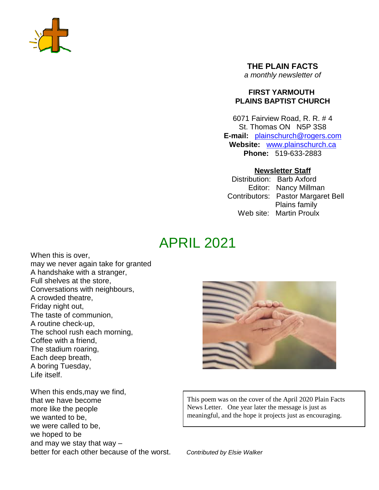

**THE PLAIN FACTS** *a monthly newsletter of*

#### **FIRST YARMOUTH PLAINS BAPTIST CHURCH**

6071 Fairview Road, R. R. # 4 St. Thomas ON N5P 3S8 **E-mail:** plainschurch@rogers.com **Website:** www.plainschurch.ca **Phone:** 519-633-2883

#### **Newsletter Staff**

Distribution: Barb Axford Editor: Nancy Millman Contributors: Pastor Margaret Bell Plains family Web site: Martin Proulx

# APRIL 2021

When this is over, may we never again take for granted A handshake with a stranger, Full shelves at the store, Conversations with neighbours, A crowded theatre, Friday night out, The taste of communion, A routine check-up, The school rush each morning, Coffee with a friend, The stadium roaring, Each deep breath, A boring Tuesday, Life itself.

When this ends,may we find, that we have become more like the people we wanted to be, we were called to be, we hoped to be and may we stay that way – better for each other because of the worst. *Contributed by Elsie Walker*



This poem was on the cover of the April 2020 Plain Facts News Letter. One year later the message is just as meaningful, and the hope it projects just as encouraging.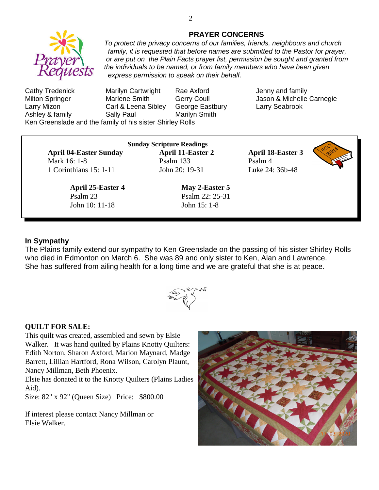

#### **PRAYER CONCERNS**

*To protect the privacy concerns of our families, friends, neighbours and church family, it is requested that before names are submitted to the Pastor for prayer, or are put on the Plain Facts prayer list, permission be sought and granted from the individuals to be named, or from family members who have been given express permission to speak on their behalf.*

Cathy Tredenick Marilyn Cartwright Rae Axford Jenny and family Milton Springer **Marlene Smith** Gerry Coull **Genetic Lasses & Michelle Carnegie** Larry Mizon Carl & Leena Sibley George Eastbury Larry Seabrook Ashley & family **Sally Paul** Marilyn Smith Ken Greenslade and the family of his sister Shirley Rolls

**April 04-Easter Sunday April 11-Easter 2 April 18-Easter 3** Mark 16: 1-8 **Psalm 133** Psalm 4 1 Corinthians 15: 1-11 John 20: 19-31 Luke 24: 36b-48

**April 25-Easter 4 May 2-Easter 5** Psalm 23 Psalm 22: 25-31 John 10: 11-18 John 15: 1-8

**Sunday Scripture Readings**



#### **In Sympathy**

The Plains family extend our sympathy to Ken Greenslade on the passing of his sister Shirley Rolls who died in Edmonton on March 6. She was 89 and only sister to Ken, Alan and Lawrence. She has suffered from ailing health for a long time and we are grateful that she is at peace.

# **QUILT FOR SALE:**

This quilt was created, assembled and sewn by Elsie Walker. It was hand quilted by Plains Knotty Quilters: Edith Norton, Sharon Axford, Marion Maynard, Madge Barrett, Lillian Hartford, Rona Wilson, Carolyn Plaunt, Nancy Millman, Beth Phoenix.

Elsie has donated it to the Knotty Quilters (Plains Ladies Aid).

Size: 82" x 92" (Queen Size) Price: \$800.00

If interest please contact Nancy Millman or Elsie Walker.

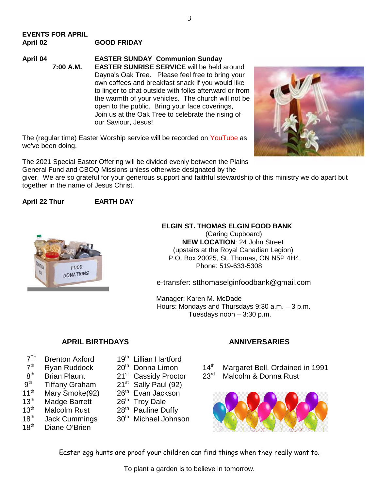### **EVENTS FOR APRIL April 02 GOOD FRIDAY**

**April 04 EASTER SUNDAY Communion Sunday 7:00 A.M. EASTER SUNRISE SERVICE** will be held around Dayna's Oak Tree. Please feel free to bring your own coffees and breakfast snack if you would like to linger to chat outside with folks afterward or from the warmth of your vehicles. The church will not be open to the public. Bring your face coverings, Join us at the Oak Tree to celebrate the rising of our Saviour, Jesus!

The (regular time) Easter Worship service will be recorded on YouTube as we've been doing.

The 2021 Special Easter Offering will be divided evenly between the Plains General Fund and CBOQ Missions unless otherwise designated by the

giver. We are so grateful for your generous support and faithful stewardship of this ministry we do apart but together in the name of Jesus Christ.

#### **April 22 Thur EARTH DAY**



#### **ELGIN ST. THOMAS ELGIN FOOD BANK**

(Caring Cupboard) **NEW LOCATION**: 24 John Street (upstairs at the Royal Canadian Legion) P.O. Box 20025, St. Thomas, ON N5P 4H4 Phone: 519-633-5308

e-transfer: stthomaselginfoodbank@gmail.com

Manager: Karen M. McDade Hours: Mondays and Thursdays 9:30 a.m. – 3 p.m. Tuesdays noon – 3:30 p.m.

#### **APRIL BIRTHDAYS ANNIVERSARIES**

- $7<sup>TH</sup>$
- $7<sup>th</sup>$
- $8<sup>th</sup>$
- $9<sup>th</sup>$
- 11<sup>th</sup> Mary Smoke(92) 26<sup>th</sup> Evan Jackson
- 13<sup>th</sup> Madge Barrett 26<sup>th</sup> Troy Dale
- 
- 
- 18<sup>th</sup> Diane O'Brien
- Brenton Axford 19<sup>th</sup> Lillian Hartford
	- -
- Tiffany Graham  $21<sup>st</sup>$  Sally Paul (92)
	-
	-
- $13<sup>th</sup>$  Malcolm Rust  $28<sup>th</sup>$  Pauline Duffy
- $18<sup>th</sup>$  Jack Cummings  $30<sup>th</sup>$  Michael Johnson

Ryan Ruddock  $20<sup>th</sup>$  Donna Limon  $14<sup>th</sup>$  Margaret Bell, Ordained in 1991 Brian Plaunt 21<sup>st</sup> Cassidy Proctor 23<sup>rd</sup> Malcolm & Donna Rust



Easter egg hunts are proof your children can find things when they really want to.

To plant a garden is to believe in tomorrow.

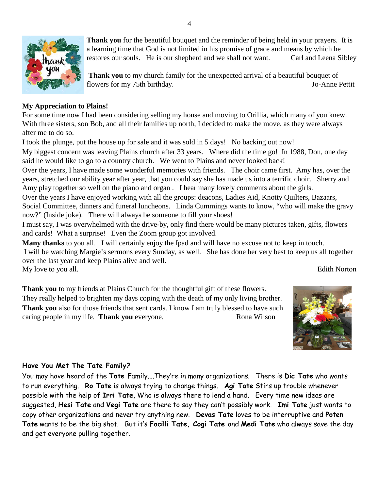

**Thank you** for the beautiful bouquet and the reminder of being held in your prayers. It is a learning time that God is not limited in his promise of grace and means by which he restores our souls. He is our shepherd and we shall not want. Carl and Leena Sibley

**Thank you** to my church family for the unexpected arrival of a beautiful bouquet of flowers for my 75th birthday. Jo-Anne Pettit

### **My Appreciation to Plains!**

For some time now I had been considering selling my house and moving to Orillia, which many of you knew. With three sisters, son Bob, and all their families up north, I decided to make the move, as they were always after me to do so.

I took the plunge, put the house up for sale and it was sold in 5 days! No backing out now!

My biggest concern was leaving Plains church after 33 years. Where did the time go! In 1988, Don, one day said he would like to go to a country church. We went to Plains and never looked back!

Over the years, I have made some wonderful memories with friends. The choir came first. Amy has, over the years, stretched our ability year after year, that you could say she has made us into a terrific choir. Sherry and Amy play together so well on the piano and organ . I hear many lovely comments about the girls.

Over the years I have enjoyed working with all the groups: deacons, Ladies Aid, Knotty Quilters, Bazaars, Social Committee, dinners and funeral luncheons. Linda Cummings wants to know, "who will make the gravy now?" (Inside joke). There will always be someone to fill your shoes!

I must say, I was overwhelmed with the drive-by, only find there would be many pictures taken, gifts, flowers and cards! What a surprise! Even the Zoom group got involved.

**Many thanks** to you all. I will certainly enjoy the Ipad and will have no excuse not to keep in touch. I will be watching Margie's sermons every Sunday, as well. She has done her very best to keep us all together over the last year and keep Plains alive and well. My love to you all. Edith Norton

**Thank you** to my friends at Plains Church for the thoughtful gift of these flowers. They really helped to brighten my days coping with the death of my only living brother. **Thank you** also for those friends that sent cards. I know I am truly blessed to have such caring people in my life. **Thank you** everyone. Rona Wilson



## **Have You Met The Tate Family?**

You may have heard of the **Tate** Family....They're in many organizations. There is **Dic Tate** who wants to run everything. **Ro Tate** is always trying to change things. **Agi Tate** Stirs up trouble whenever possible with the help of **Irri Tate**, Who is always there to lend a hand. Every time new ideas are suggested, **Hesi Tate** and **Vegi Tate** are there to say they can't possibly work. **Imi Tate** just wants to copy other organizations and never try anything new. **Devas Tate** loves to be interruptive and **Poten Tate** wants to be the big shot. But it's **Facilli Tate, Cogi Tate** and **Medi Tate** who always save the day and get everyone pulling together.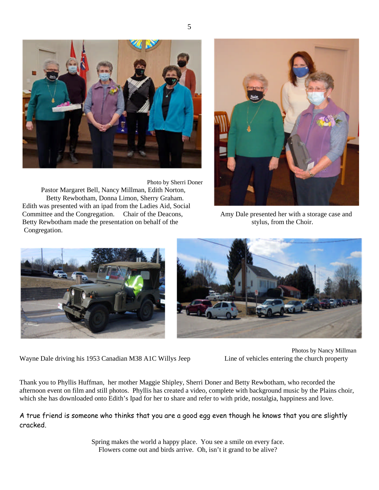

Photo by Sherri Doner Pastor Margaret Bell, Nancy Millman, Edith Norton, Betty Rewbotham, Donna Limon, Sherry Graham. Edith was presented with an ipad from the Ladies Aid, Social Committee and the Congregation. Chair of the Deacons, Amy Dale presented her with a storage case and Betty Rewbotham made the presentation on behalf of the stylus, from the Choir. Congregation.







Wayne Dale driving his 1953 Canadian M38 A1C Willys Jeep Line of vehicles entering the church property

Photos by Nancy Millman

Thank you to Phyllis Huffman, her mother Maggie Shipley, Sherri Doner and Betty Rewbotham, who recorded the afternoon event on film and still photos. Phyllis has created a video, complete with background music by the Plains choir, which she has downloaded onto Edith's Ipad for her to share and refer to with pride, nostalgia, happiness and love.

A true friend is someone who thinks that you are a good egg even though he knows that you are slightly cracked.

> Spring makes the world a happy place. You see a smile on every face. Flowers come out and birds arrive. Oh, isn't it grand to be alive?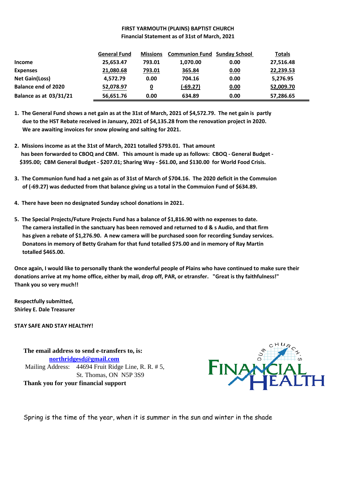#### **FIRST YARMOUTH (PLAINS) BAPTIST CHURCH Financial Statement as of 31st of March, 2021**

|                               | <b>General Fund</b> | <b>Missions</b> | <b>Communion Fund Sunday School</b> |      | <b>Totals</b> |
|-------------------------------|---------------------|-----------------|-------------------------------------|------|---------------|
| <b>Income</b>                 | 25,653.47           | 793.01          | 1,070.00                            | 0.00 | 27,516.48     |
| <b>Expenses</b>               | 21,080.68           | 793.01          | 365.84                              | 0.00 | 22,239.53     |
| <b>Net Gain(Loss)</b>         | 4,572.79            | 0.00            | 704.16                              | 0.00 | 5,276.95      |
| <b>Balance end of 2020</b>    | 52,078.97           | 0               | $(-69.27)$                          | 0.00 | 52,009.70     |
| <b>Balance as at 03/31/21</b> | 56,651.76           | 0.00            | 634.89                              | 0.00 | 57,286.65     |

**1. The General Fund shows a net gain as at the 31st of March, 2021 of \$4,572.79. The net gain is partly due to the HST Rebate received in January, 2021 of \$4,135.28 from the renovation project in 2020. We are awaiting invoices for snow plowing and salting for 2021.**

- **2. Missions income as at the 31st of March, 2021 totalled \$793.01. That amount has been forwarded to CBOQ and CBM. This amount is made up as follows: CBOQ - General Budget - \$395.00; CBM General Budget - \$207.01; Sharing Way - \$61.00, and \$130.00 for World Food Crisis.**
- **3. The Communion fund had a net gain as of 31st of March of \$704.16. The 2020 deficit in the Commuion of (-69.27) was deducted from that balance giving us a total in the Commuion Fund of \$634.89.**
- **4. There have been no designated Sunday school donations in 2021.**
- **5. The Special Projects/Future Projects Fund has a balance of \$1,816.90 with no expenses to date. The camera installed in the sanctuary has been removed and returned to d & s Audio, and that firm has given a rebate of \$1,276.90. A new camera will be purchased soon for recording Sunday services. Donatons in memory of Betty Graham for that fund totalled \$75.00 and in memory of Ray Martin totalled \$465.00.**

**Once again, I would like to personally thank the wonderful people of Plains who have continued to make sure their donations arrive at my home office, either by mail, drop off, PAR, or etransfer. "Great is thy faithfulness!" Thank you so very much!!**

**Respectfully submitted, Shirley E. Dale Treasurer**

**STAY SAFE AND STAY HEALTHY!**

**The email address to send e-transfers to, is: northridgesd@gmail.com** Mailing Address: 44694 Fruit Ridge Line, R. R. # 5, St. Thomas, ON N5P 3S9 **Thank you for your financial support**



Spring is the time of the year, when it is summer in the sun and winter in the shade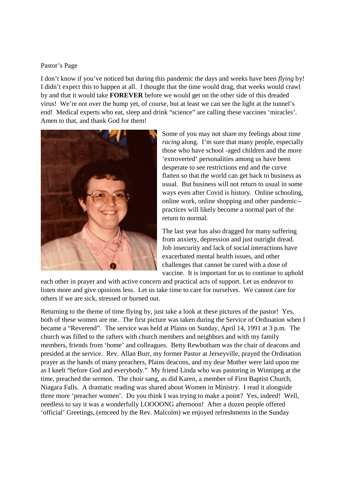#### Pastor's Page

I don't know if you've noticed but during this pandemic the days and weeks have been *flying* by! I didn't expect this to happen at all. I thought that the time would drag, that weeks would crawl by and that it would take **FOREVER** before we would get on the other side of this dreaded virus! We're not over the hump yet, of course, but at least we can see the light at the tunnel's end! Medical experts who eat, sleep and drink "science" are calling these vaccines 'miracles'. Amen to that, and thank God for them!



Some of you may not share my feelings about time *racing* along. I'm sure that many people, especially those who have school -aged children and the more 'extroverted' personalities among us have been desperate to see restrictions end and the curve flatten so that the world can get back to business as usual. But business will not return to usual in some ways even after Covid is history. Online schooling, online work, online shopping and other pandemic- practices will likely become a normal part of the return to normal.

The last year has also dragged for many suffering from anxiety, depression and just outright dread. Job insecurity and lack of social interactions have exacerbated mental health issues, and other challenges that cannot be cured with a dose of vaccine. It is important for us to continue to uphold

each other in prayer and with active concern and practical acts of support. Let us endeavor to listen more and give opinions less. Let us take time to care for ourselves. We cannot care for others if we are sick, stressed or burned out.

Returning to the theme of time flying by, just take a look at these pictures of the pastor! Yes, both of these women are me. The first picture was taken during the Service of Ordination when I became a "Reverend". The service was held at Plains on Sunday, April 14, 1991 at 3 p.m. The church was filled to the rafters with church members and neighbors and with my family members, friends from 'home' and colleagues. Betty Rewbotham was the chair of deacons and presided at the service. Rev. Allan Burr, my former Pastor at Jerseyville, prayed the Ordination prayer as the hands of many preachers, Plains deacons, and my dear Mother were laid upon me as I knelt "before God and everybody." My friend Linda who was pastoring in Winnipeg at the time, preached the sermon. The choir sang, as did Karen, a member of First Baptist Church, Niagara Falls. A dramatic reading was shared about Women in Ministry. I read it alongside three more 'preacher women'. Do you think I was trying to make a point? Yes, indeed! Well, needless to say it was a wonderfully LOOOONG afternoon! After a dozen people offered 'official' Greetings, (emceed by the Rev. Malcolm) we enjoyed refreshments in the Sunday